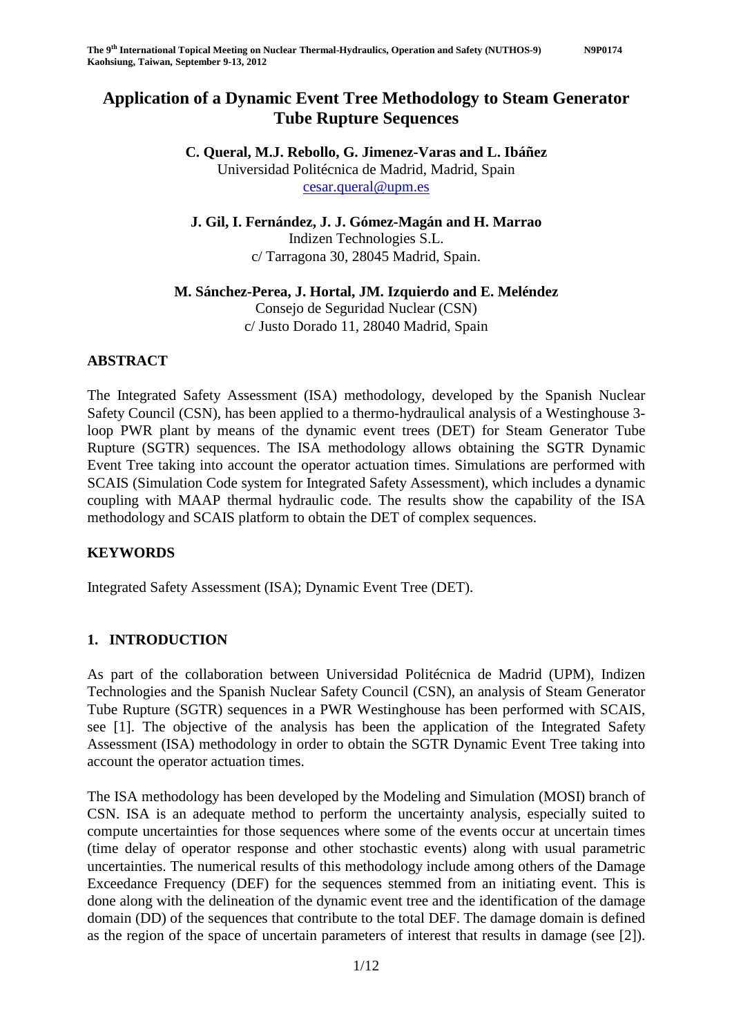# **Application of a Dynamic Event Tree Methodology to Steam Generator Tube Rupture Sequences**

**C. Queral, M.J. Rebollo, G. Jimenez-Varas and L. Ibáñez**  Universidad Politécnica de Madrid, Madrid, Spain cesar.queral@upm.es

**J. Gil, I. Fernández, J. J. Gómez-Magán and H. Marrao**  Indizen Technologies S.L. c/ Tarragona 30, 28045 Madrid, Spain.

## **M. Sánchez-Perea, J. Hortal, JM. Izquierdo and E. Meléndez**

Consejo de Seguridad Nuclear (CSN) c/ Justo Dorado 11, 28040 Madrid, Spain

## **ABSTRACT**

The Integrated Safety Assessment (ISA) methodology, developed by the Spanish Nuclear Safety Council (CSN), has been applied to a thermo-hydraulical analysis of a Westinghouse 3 loop PWR plant by means of the dynamic event trees (DET) for Steam Generator Tube Rupture (SGTR) sequences. The ISA methodology allows obtaining the SGTR Dynamic Event Tree taking into account the operator actuation times. Simulations are performed with SCAIS (Simulation Code system for Integrated Safety Assessment), which includes a dynamic coupling with MAAP thermal hydraulic code. The results show the capability of the ISA methodology and SCAIS platform to obtain the DET of complex sequences.

## **KEYWORDS**

Integrated Safety Assessment (ISA); Dynamic Event Tree (DET).

#### **1. INTRODUCTION**

As part of the collaboration between Universidad Politécnica de Madrid (UPM), Indizen Technologies and the Spanish Nuclear Safety Council (CSN), an analysis of Steam Generator Tube Rupture (SGTR) sequences in a PWR Westinghouse has been performed with SCAIS, see [1]. The objective of the analysis has been the application of the Integrated Safety Assessment (ISA) methodology in order to obtain the SGTR Dynamic Event Tree taking into account the operator actuation times.

The ISA methodology has been developed by the Modeling and Simulation (MOSI) branch of CSN. ISA is an adequate method to perform the uncertainty analysis, especially suited to compute uncertainties for those sequences where some of the events occur at uncertain times (time delay of operator response and other stochastic events) along with usual parametric uncertainties. The numerical results of this methodology include among others of the Damage Exceedance Frequency (DEF) for the sequences stemmed from an initiating event. This is done along with the delineation of the dynamic event tree and the identification of the damage domain (DD) of the sequences that contribute to the total DEF. The damage domain is defined as the region of the space of uncertain parameters of interest that results in damage (see [2]).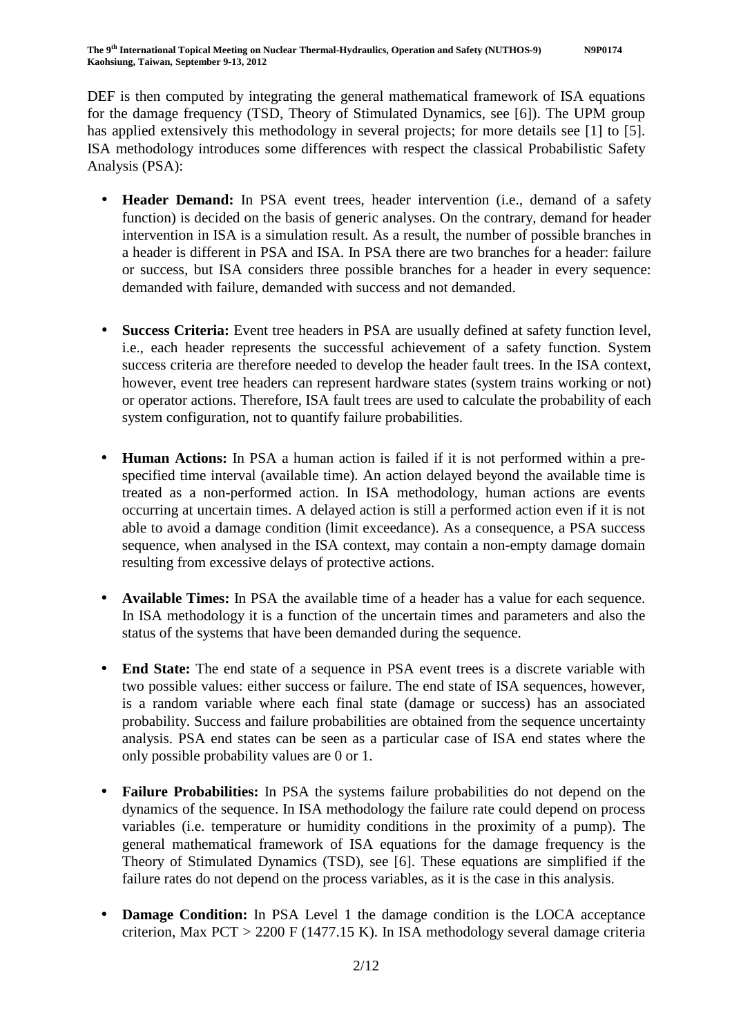DEF is then computed by integrating the general mathematical framework of ISA equations for the damage frequency (TSD, Theory of Stimulated Dynamics, see [6]). The UPM group has applied extensively this methodology in several projects; for more details see [1] to [5]. ISA methodology introduces some differences with respect the classical Probabilistic Safety Analysis (PSA):

- **Header Demand:** In PSA event trees, header intervention (i.e., demand of a safety function) is decided on the basis of generic analyses. On the contrary, demand for header intervention in ISA is a simulation result. As a result, the number of possible branches in a header is different in PSA and ISA. In PSA there are two branches for a header: failure or success, but ISA considers three possible branches for a header in every sequence: demanded with failure, demanded with success and not demanded.
- **Success Criteria:** Event tree headers in PSA are usually defined at safety function level, i.e., each header represents the successful achievement of a safety function. System success criteria are therefore needed to develop the header fault trees. In the ISA context, however, event tree headers can represent hardware states (system trains working or not) or operator actions. Therefore, ISA fault trees are used to calculate the probability of each system configuration, not to quantify failure probabilities.
- **Human Actions:** In PSA a human action is failed if it is not performed within a prespecified time interval (available time). An action delayed beyond the available time is treated as a non-performed action. In ISA methodology, human actions are events occurring at uncertain times. A delayed action is still a performed action even if it is not able to avoid a damage condition (limit exceedance). As a consequence, a PSA success sequence, when analysed in the ISA context, may contain a non-empty damage domain resulting from excessive delays of protective actions.
- **Available Times:** In PSA the available time of a header has a value for each sequence. In ISA methodology it is a function of the uncertain times and parameters and also the status of the systems that have been demanded during the sequence.
- **End State:** The end state of a sequence in PSA event trees is a discrete variable with two possible values: either success or failure. The end state of ISA sequences, however, is a random variable where each final state (damage or success) has an associated probability. Success and failure probabilities are obtained from the sequence uncertainty analysis. PSA end states can be seen as a particular case of ISA end states where the only possible probability values are 0 or 1.
- **Failure Probabilities:** In PSA the systems failure probabilities do not depend on the dynamics of the sequence. In ISA methodology the failure rate could depend on process variables (i.e. temperature or humidity conditions in the proximity of a pump). The general mathematical framework of ISA equations for the damage frequency is the Theory of Stimulated Dynamics (TSD), see [6]. These equations are simplified if the failure rates do not depend on the process variables, as it is the case in this analysis.
- **Damage Condition:** In PSA Level 1 the damage condition is the LOCA acceptance criterion, Max  $PCT > 2200$  F (1477.15 K). In ISA methodology several damage criteria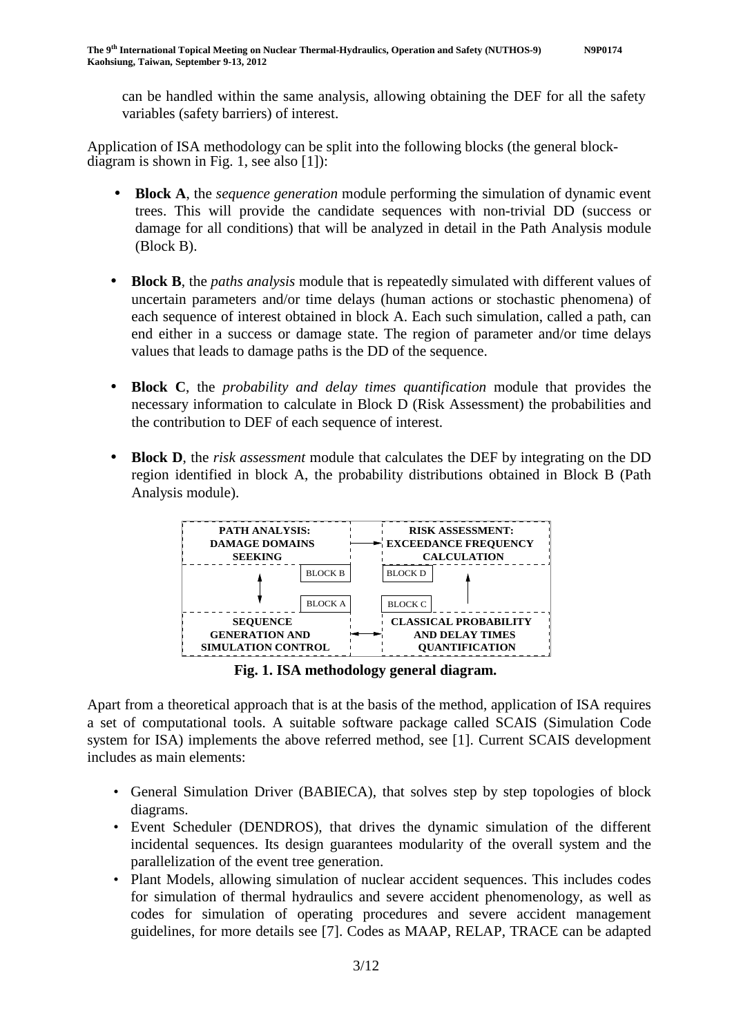can be handled within the same analysis, allowing obtaining the DEF for all the safety variables (safety barriers) of interest.

Application of ISA methodology can be split into the following blocks (the general blockdiagram is shown in Fig. 1, see also [1]):

- **Block A**, the *sequence generation* module performing the simulation of dynamic event trees. This will provide the candidate sequences with non-trivial DD (success or damage for all conditions) that will be analyzed in detail in the Path Analysis module (Block B).
- **Block B**, the *paths analysis* module that is repeatedly simulated with different values of uncertain parameters and/or time delays (human actions or stochastic phenomena) of each sequence of interest obtained in block A. Each such simulation, called a path, can end either in a success or damage state. The region of parameter and/or time delays values that leads to damage paths is the DD of the sequence.
- **Block C**, the *probability and delay times quantification* module that provides the necessary information to calculate in Block D (Risk Assessment) the probabilities and the contribution to DEF of each sequence of interest.
- **Block D**, the *risk assessment* module that calculates the DEF by integrating on the DD region identified in block A, the probability distributions obtained in Block B (Path Analysis module).



**Fig. 1. ISA methodology general diagram.** 

Apart from a theoretical approach that is at the basis of the method, application of ISA requires a set of computational tools. A suitable software package called SCAIS (Simulation Code system for ISA) implements the above referred method, see [1]. Current SCAIS development includes as main elements:

- General Simulation Driver (BABIECA), that solves step by step topologies of block diagrams.
- Event Scheduler (DENDROS), that drives the dynamic simulation of the different incidental sequences. Its design guarantees modularity of the overall system and the parallelization of the event tree generation.
- Plant Models, allowing simulation of nuclear accident sequences. This includes codes for simulation of thermal hydraulics and severe accident phenomenology, as well as codes for simulation of operating procedures and severe accident management guidelines, for more details see [7]. Codes as MAAP, RELAP, TRACE can be adapted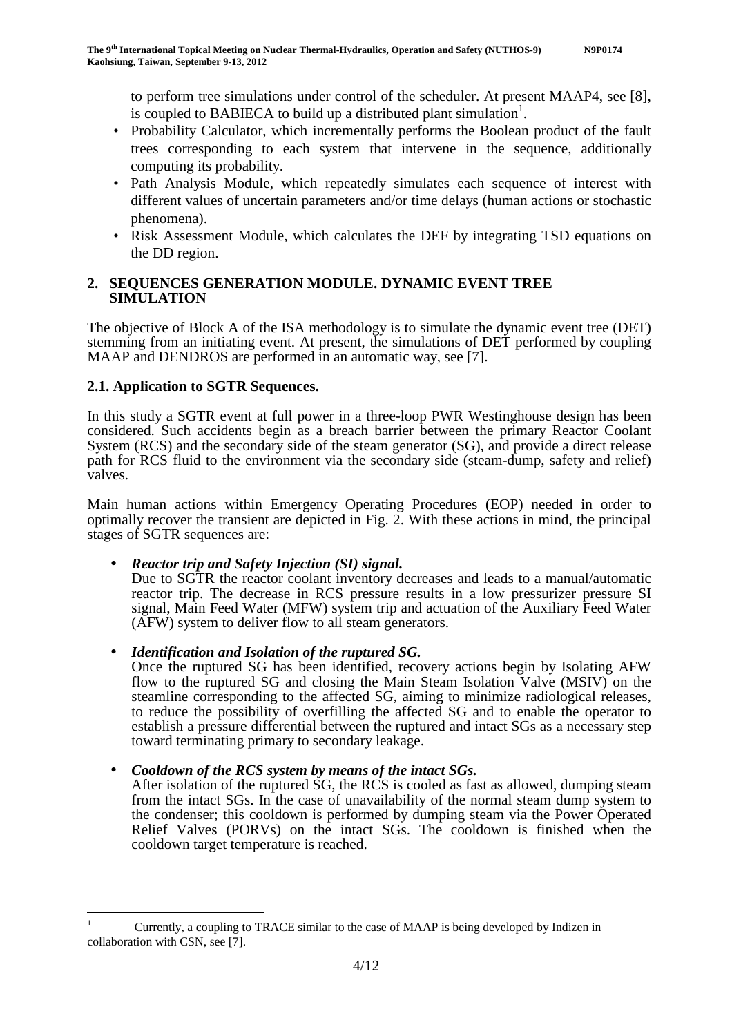to perform tree simulations under control of the scheduler. At present MAAP4, see [8], is coupled to BABIECA to build up a distributed plant simulation<sup>1</sup>.

- Probability Calculator, which incrementally performs the Boolean product of the fault trees corresponding to each system that intervene in the sequence, additionally computing its probability.
- Path Analysis Module, which repeatedly simulates each sequence of interest with different values of uncertain parameters and/or time delays (human actions or stochastic phenomena).
- Risk Assessment Module, which calculates the DEF by integrating TSD equations on the DD region.

#### **2. SEQUENCES GENERATION MODULE. DYNAMIC EVENT TREE SIMULATION**

The objective of Block A of the ISA methodology is to simulate the dynamic event tree (DET) stemming from an initiating event. At present, the simulations of DET performed by coupling MAAP and DENDROS are performed in an automatic way, see [7].

## **2.1. Application to SGTR Sequences.**

 $\overline{a}$ 

In this study a SGTR event at full power in a three-loop PWR Westinghouse design has been considered. Such accidents begin as a breach barrier between the primary Reactor Coolant System (RCS) and the secondary side of the steam generator (SG), and provide a direct release path for RCS fluid to the environment via the secondary side (steam-dump, safety and relief) valves.

Main human actions within Emergency Operating Procedures (EOP) needed in order to optimally recover the transient are depicted in Fig.  $\tilde{2}$ . With these actions in mind, the principal stages of SGTR sequences are:

#### • *Reactor trip and Safety Injection (SI) signal.*

Due to SGTR the reactor coolant inventory decreases and leads to a manual/automatic reactor trip. The decrease in RCS pressure results in a low pressurizer pressure SI signal, Main Feed Water (MFW) system trip and actuation of the Auxiliary Feed Water (AFW) system to deliver flow to all steam generators.

• *Identification and Isolation of the ruptured SG.* 

Once the ruptured SG has been identified, recovery actions begin by Isolating AFW flow to the ruptured SG and closing the Main Steam Isolation Valve (MSIV) on the steamline corresponding to the affected SG, aiming to minimize radiological releases, to reduce the possibility of overfilling the affected SG and to enable the operator to establish a pressure differential between the ruptured and intact SGs as a necessary step toward terminating primary to secondary leakage.

#### • *Cooldown of the RCS system by means of the intact SGs.*

After isolation of the ruptured  $\overline{SG}$ , the RCS is cooled as fast as allowed, dumping steam from the intact SGs. In the case of unavailability of the normal steam dump system to the condenser; this cooldown is performed by dumping steam via the Power Operated Relief Valves (PORVs) on the intact SGs. The cooldown is finished when the cooldown target temperature is reached.

<sup>1</sup> Currently, a coupling to TRACE similar to the case of MAAP is being developed by Indizen in collaboration with CSN, see [7].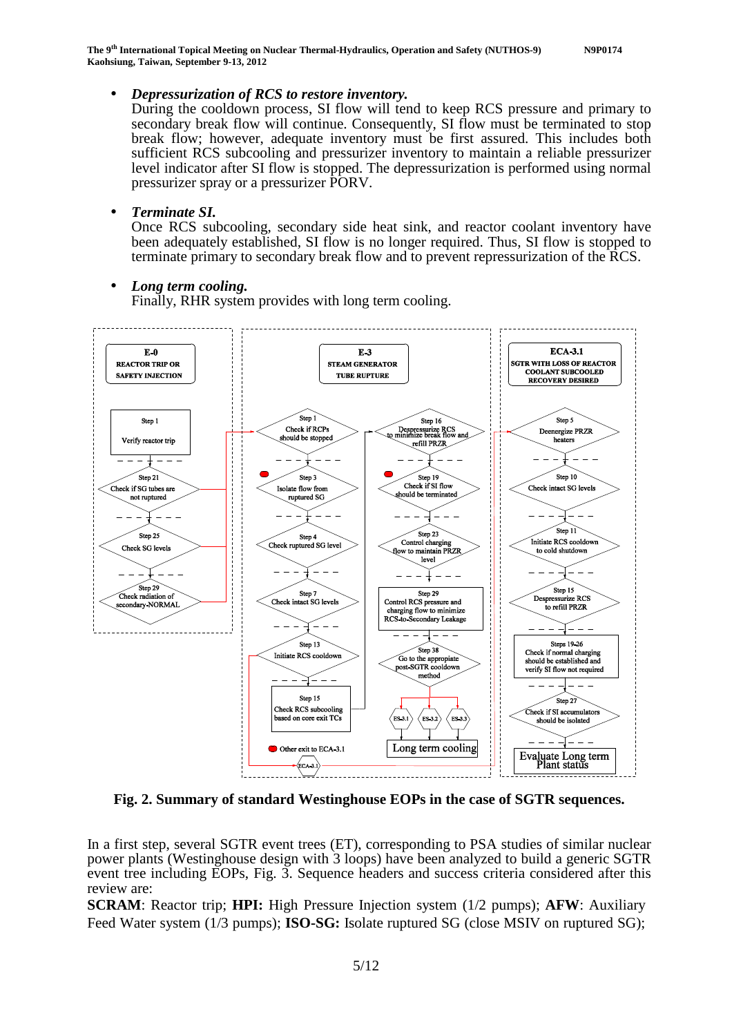**The 9th International Topical Meeting on Nuclear Thermal-Hydraulics, Operation and Safety (NUTHOS-9) N9P0174 Kaohsiung, Taiwan, September 9-13, 2012** 

• *Depressurization of RCS to restore inventory.* 

During the cooldown process, SI flow will tend to keep RCS pressure and primary to secondary break flow will continue. Consequently, SI flow must be terminated to stop break flow; however, adequate inventory must be first assured. This includes both sufficient RCS subcooling and pressurizer inventory to maintain a reliable pressurizer level indicator after SI flow is stopped. The depressurization is performed using normal pressurizer spray or a pressurizer PORV.

#### • *Terminate SI.*

Once RCS subcooling, secondary side heat sink, and reactor coolant inventory have been adequately established, SI flow is no longer required. Thus, SI flow is stopped to terminate primary to secondary break flow and to prevent repressurization of the RCS.

#### • *Long term cooling.*

Finally, RHR system provides with long term cooling.



**Fig. 2. Summary of standard Westinghouse EOPs in the case of SGTR sequences.** 

In a first step, several SGTR event trees (ET), corresponding to PSA studies of similar nuclear power plants (Westinghouse design with 3 loops) have been analyzed to build a generic SGTR event tree including EOPs, Fig. 3. Sequence headers and success criteria considered after this review are:

**SCRAM**: Reactor trip; **HPI:** High Pressure Injection system (1/2 pumps); **AFW**: Auxiliary Feed Water system (1/3 pumps); **ISO-SG:** Isolate ruptured SG (close MSIV on ruptured SG);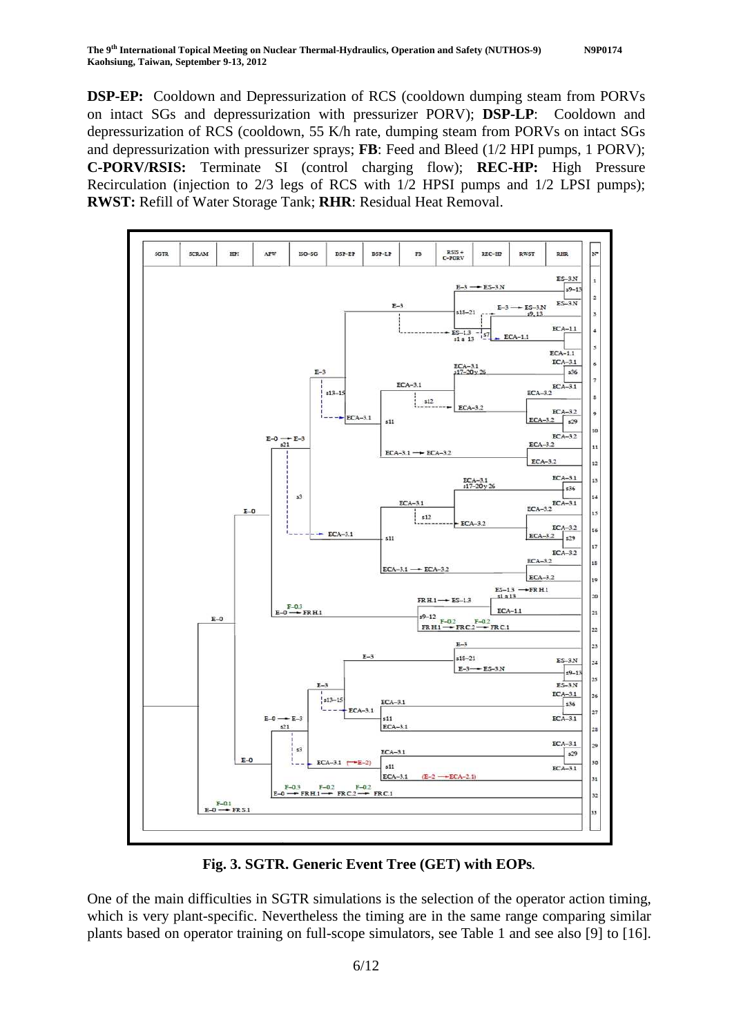**DSP-EP:** Cooldown and Depressurization of RCS (cooldown dumping steam from PORVs on intact SGs and depressurization with pressurizer PORV); **DSP-LP**: Cooldown and depressurization of RCS (cooldown, 55 K/h rate, dumping steam from PORVs on intact SGs and depressurization with pressurizer sprays; **FB**: Feed and Bleed (1/2 HPI pumps, 1 PORV); **C-PORV/RSIS:** Terminate SI (control charging flow); **REC-HP:** High Pressure Recirculation (injection to 2/3 legs of RCS with 1/2 HPSI pumps and 1/2 LPSI pumps); **RWST:** Refill of Water Storage Tank; **RHR**: Residual Heat Removal.



**Fig. 3. SGTR. Generic Event Tree (GET) with EOPs***.* 

One of the main difficulties in SGTR simulations is the selection of the operator action timing, which is very plant-specific. Nevertheless the timing are in the same range comparing similar plants based on operator training on full-scope simulators, see Table 1 and see also [9] to [16].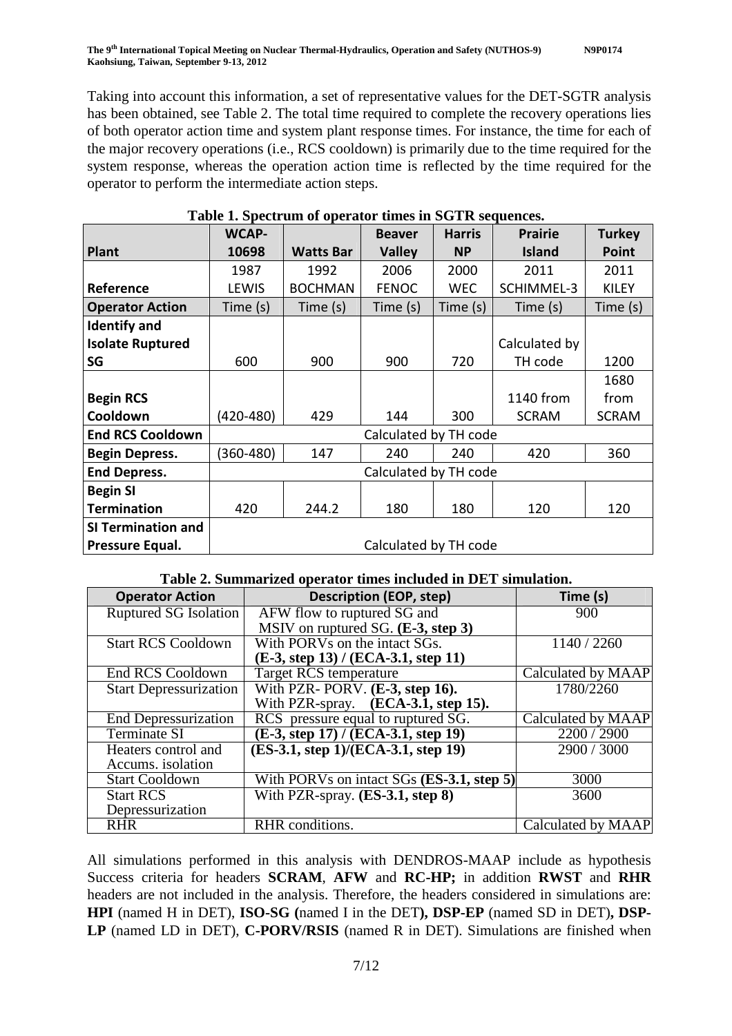Taking into account this information, a set of representative values for the DET-SGTR analysis has been obtained, see Table 2. The total time required to complete the recovery operations lies of both operator action time and system plant response times. For instance, the time for each of the major recovery operations (i.e., RCS cooldown) is primarily due to the time required for the system response, whereas the operation action time is reflected by the time required for the operator to perform the intermediate action steps.

|                           | <b>WCAP-</b>          |                      | <b>Beaver</b> | <b>Harris</b> | <b>Prairie</b>    | <b>Turkey</b> |  |  |
|---------------------------|-----------------------|----------------------|---------------|---------------|-------------------|---------------|--|--|
| <b>Plant</b>              | 10698                 | <b>Watts Bar</b>     | <b>Valley</b> | NP.           | <b>Island</b>     | Point         |  |  |
|                           | 1987                  | 1992                 | 2006          | 2000          | 2011              | 2011          |  |  |
| Reference                 | LEWIS                 | <b>BOCHMAN</b>       | <b>FENOC</b>  | <b>WEC</b>    | <b>SCHIMMEL-3</b> | <b>KILEY</b>  |  |  |
| <b>Operator Action</b>    | Time (s)              | Time (s)<br>Time (s) |               | Time (s)      | Time (s)          | Time (s)      |  |  |
| <b>Identify and</b>       |                       |                      |               |               |                   |               |  |  |
| <b>Isolate Ruptured</b>   |                       |                      |               |               | Calculated by     |               |  |  |
| SG                        | 600                   | 900                  | 900           | 720           | TH code           | 1200          |  |  |
|                           |                       |                      |               |               |                   | 1680          |  |  |
| <b>Begin RCS</b>          |                       |                      |               |               | 1140 from         | from          |  |  |
| Cooldown                  | (420-480)             | 429                  | 144           | 300           | <b>SCRAM</b>      | <b>SCRAM</b>  |  |  |
| <b>End RCS Cooldown</b>   | Calculated by TH code |                      |               |               |                   |               |  |  |
| <b>Begin Depress.</b>     | (360-480)             | 240<br>240<br>147    |               |               | 420               | 360           |  |  |
| <b>End Depress.</b>       | Calculated by TH code |                      |               |               |                   |               |  |  |
| <b>Begin SI</b>           |                       |                      |               |               |                   |               |  |  |
| <b>Termination</b>        | 420                   | 244.2                | 180           | 180           | 120               | 120           |  |  |
| <b>SI Termination and</b> |                       |                      |               |               |                   |               |  |  |
| Pressure Equal.           | Calculated by TH code |                      |               |               |                   |               |  |  |

## **Table 1. Spectrum of operator times in SGTR sequences.**

## **Table 2. Summarized operator times included in DET simulation.**

| <b>Operator Action</b>        | <b>Description (EOP, step)</b>                       | Time (s)           |
|-------------------------------|------------------------------------------------------|--------------------|
| Ruptured SG Isolation         | AFW flow to ruptured SG and                          | 900                |
|                               | MSIV on ruptured SG. (E-3, step 3)                   |                    |
| <b>Start RCS Cooldown</b>     | With PORVs on the intact SGs.                        | 1140 / 2260        |
|                               | (E-3, step 13) / (ECA-3.1, step 11)                  |                    |
| <b>End RCS Cooldown</b>       | <b>Target RCS temperature</b>                        | Calculated by MAAP |
| <b>Start Depressurization</b> | With PZR-PORV. $(E-3, \text{step } 16)$ .            | 1780/2260          |
|                               | With PZR-spray. (ECA-3.1, step 15).                  |                    |
| <b>End Depressurization</b>   | RCS pressure equal to ruptured SG.                   | Calculated by MAAP |
| Terminate SI                  | $(E-3, step 17) / (ECA-3.1, step 19)$                | 2200 / 2900        |
| Heaters control and           | (ES-3.1, step 1)/(ECA-3.1, step 19)                  | 2900 / 3000        |
| Accums. isolation             |                                                      |                    |
| <b>Start Cooldown</b>         | With PORVs on intact $SGs$ ( <b>ES-3.1, step 5</b> ) | 3000               |
| <b>Start RCS</b>              | With PZR-spray. (ES-3.1, step 8)                     | 3600               |
| Depressurization              |                                                      |                    |
| <b>RHR</b>                    | RHR conditions.                                      | Calculated by MAAP |

All simulations performed in this analysis with DENDROS-MAAP include as hypothesis Success criteria for headers **SCRAM**, **AFW** and **RC-HP;** in addition **RWST** and **RHR** headers are not included in the analysis. Therefore, the headers considered in simulations are: **HPI** (named H in DET), **ISO-SG (**named I in the DET**), DSP-EP** (named SD in DET)**, DSP-LP** (named LD in DET), **C-PORV/RSIS** (named R in DET). Simulations are finished when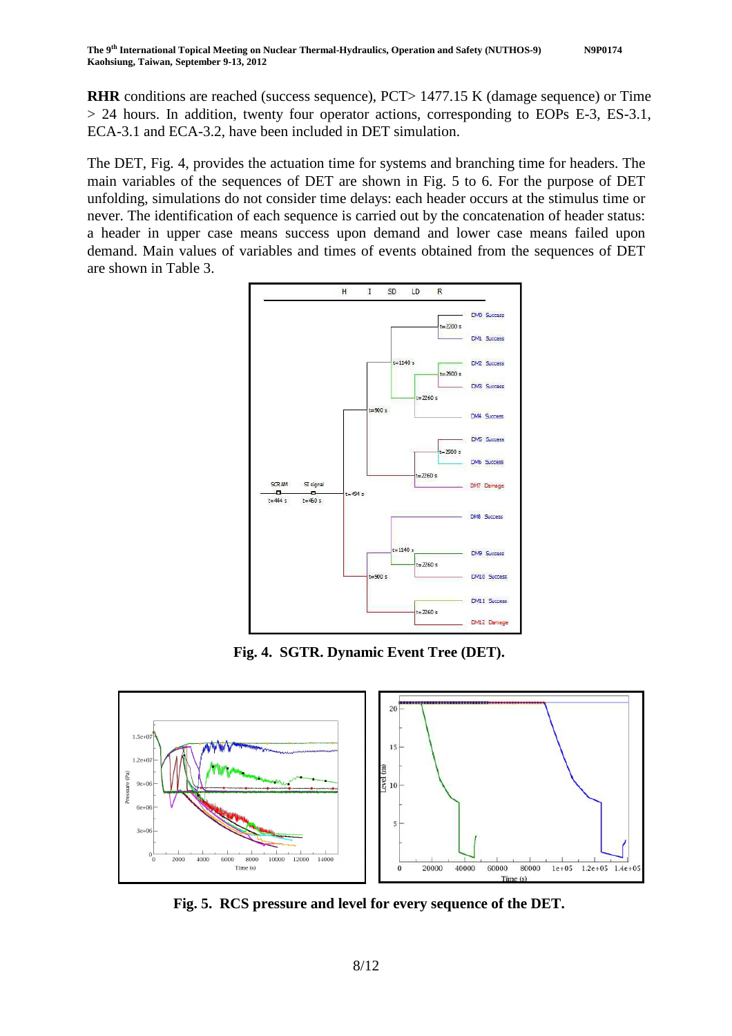**RHR** conditions are reached (success sequence), PCT> 1477.15 K (damage sequence) or Time > 24 hours. In addition, twenty four operator actions, corresponding to EOPs E-3, ES-3.1, ECA-3.1 and ECA-3.2, have been included in DET simulation.

The DET, Fig. 4, provides the actuation time for systems and branching time for headers. The main variables of the sequences of DET are shown in Fig. 5 to 6. For the purpose of DET unfolding, simulations do not consider time delays: each header occurs at the stimulus time or never. The identification of each sequence is carried out by the concatenation of header status: a header in upper case means success upon demand and lower case means failed upon demand. Main values of variables and times of events obtained from the sequences of DET are shown in Table 3.



**Fig. 4. SGTR. Dynamic Event Tree (DET).** 



**Fig. 5. RCS pressure and level for every sequence of the DET.**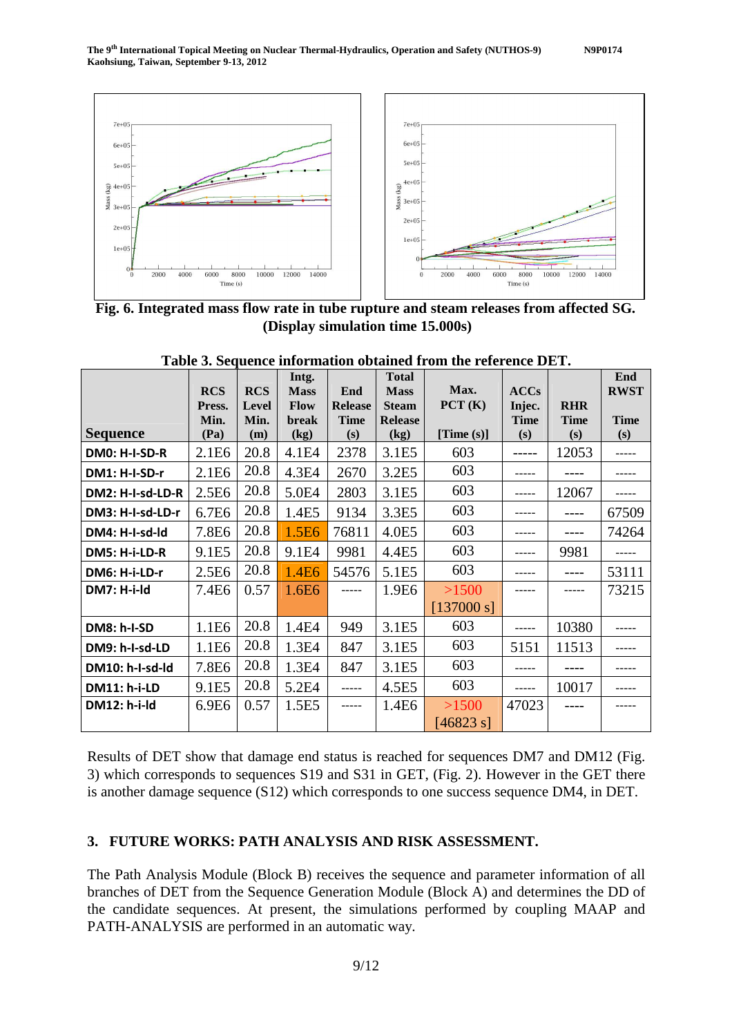

**Fig. 6. Integrated mass flow rate in tube rupture and steam releases from affected SG. (Display simulation time 15.000s)**

|                     |                   |            | Intg.             |                | <b>Total</b>   |               |             |             | End         |
|---------------------|-------------------|------------|-------------------|----------------|----------------|---------------|-------------|-------------|-------------|
|                     | <b>RCS</b>        | <b>RCS</b> | <b>Mass</b>       | End            | <b>Mass</b>    | Max.          | <b>ACCs</b> |             | <b>RWST</b> |
|                     | Press.            | Level      | <b>Flow</b>       | <b>Release</b> | <b>Steam</b>   | PCT(K)        | Injec.      | <b>RHR</b>  |             |
|                     | Min.              | Min.       | <b>break</b>      | <b>Time</b>    | <b>Release</b> |               | <b>Time</b> | <b>Time</b> | <b>Time</b> |
| <b>Sequence</b>     | (Pa)              | (m)        | (kg)              | (s)            | (kg)           | [Time $(s)$ ] | (s)         | (s)         | (s)         |
| DM0: H-I-SD-R       | 2.1E <sub>6</sub> | 20.8       | 4.1E4             | 2378           | 3.1E5          | 603           | -----       | 12053       | ------      |
| DM1: H-I-SD-r       | 2.1E <sub>6</sub> | 20.8       | 4.3E4             | 2670           | 3.2E5          | 603           | -----       |             |             |
| DM2: H-I-sd-LD-R    | 2.5E <sub>6</sub> | 20.8       | 5.0E4             | 2803           | 3.1E5          | 603           | $- - - - -$ | 12067       | -----       |
| DM3: H-I-sd-LD-r    | 6.7E <sub>6</sub> | 20.8       | 1.4E5             | 9134           | 3.3E5          | 603           | -----       | ----        | 67509       |
| DM4: H-I-sd-Id      | 7.8E6             | 20.8       | 1.5E <sub>6</sub> | 76811          | 4.0E5          | 603           | -----       |             | 74264       |
| DM5: H-i-LD-R       | 9.1E5             | 20.8       | 9.1E4             | 9981           | 4.4E5          | 603           | -----       | 9981        | -----       |
| DM6: H-i-LD-r       | 2.5E <sub>6</sub> | 20.8       | 1.4E <sub>6</sub> | 54576          | 5.1E5          | 603           |             | ----        | 53111       |
| DM7: H-i-Id         | 7.4E6             | 0.57       | 1.6E <sub>6</sub> | -----          | 1.9E6          | >1500         |             |             | 73215       |
|                     |                   |            |                   |                |                | [137000 s]    |             |             |             |
| <b>DM8: h-I-SD</b>  | 1.1E <sub>6</sub> | 20.8       | 1.4E4             | 949            | 3.1E5          | 603           | $--- - -$   | 10380       |             |
| DM9: h-I-sd-LD      | 1.1E <sub>6</sub> | 20.8       | 1.3E4             | 847            | 3.1E5          | 603           | 5151        | 11513       |             |
| DM10: h-I-sd-Id     | 7.8E6             | 20.8       | 1.3E4             | 847            | 3.1E5          | 603           |             |             |             |
| <b>DM11: h-i-LD</b> | 9.1E5             | 20.8       | 5.2E4             | -----          | 4.5E5          | 603           | -----       | 10017       |             |
| DM12: h-i-ld        | 6.9E <sub>6</sub> | 0.57       | 1.5E5             | -----          | 1.4E6          | >1500         | 47023       |             |             |
|                     |                   |            |                   |                |                | [46823 s]     |             |             |             |

**Table 3. Sequence information obtained from the reference DET.**

Results of DET show that damage end status is reached for sequences DM7 and DM12 (Fig. 3) which corresponds to sequences S19 and S31 in GET, (Fig. 2). However in the GET there is another damage sequence (S12) which corresponds to one success sequence DM4, in DET.

#### **3. FUTURE WORKS: PATH ANALYSIS AND RISK ASSESSMENT.**

The Path Analysis Module (Block B) receives the sequence and parameter information of all branches of DET from the Sequence Generation Module (Block A) and determines the DD of the candidate sequences. At present, the simulations performed by coupling MAAP and PATH-ANALYSIS are performed in an automatic way.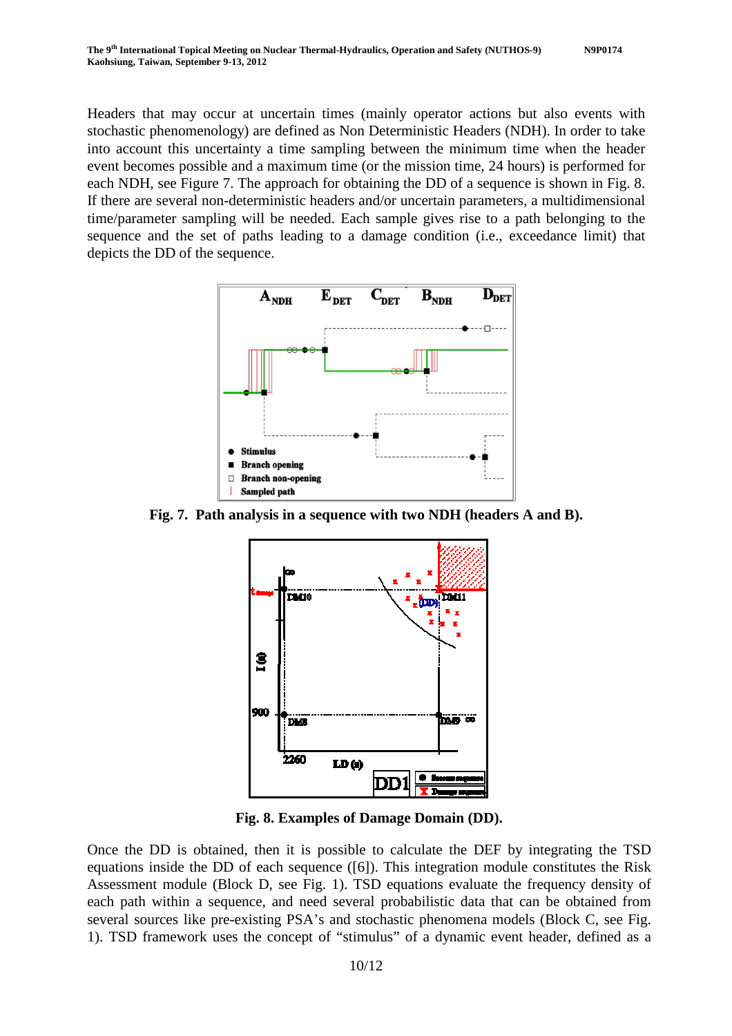Headers that may occur at uncertain times (mainly operator actions but also events with stochastic phenomenology) are defined as Non Deterministic Headers (NDH). In order to take into account this uncertainty a time sampling between the minimum time when the header event becomes possible and a maximum time (or the mission time, 24 hours) is performed for each NDH, see Figure 7. The approach for obtaining the DD of a sequence is shown in Fig. 8. If there are several non-deterministic headers and/or uncertain parameters, a multidimensional time/parameter sampling will be needed. Each sample gives rise to a path belonging to the sequence and the set of paths leading to a damage condition (i.e., exceedance limit) that depicts the DD of the sequence.



**Fig. 7. Path analysis in a sequence with two NDH (headers A and B).** 



**Fig. 8. Examples of Damage Domain (DD).**

Once the DD is obtained, then it is possible to calculate the DEF by integrating the TSD equations inside the DD of each sequence ([6]). This integration module constitutes the Risk Assessment module (Block D, see Fig. 1). TSD equations evaluate the frequency density of each path within a sequence, and need several probabilistic data that can be obtained from several sources like pre-existing PSA's and stochastic phenomena models (Block C, see Fig. 1). TSD framework uses the concept of "stimulus" of a dynamic event header, defined as a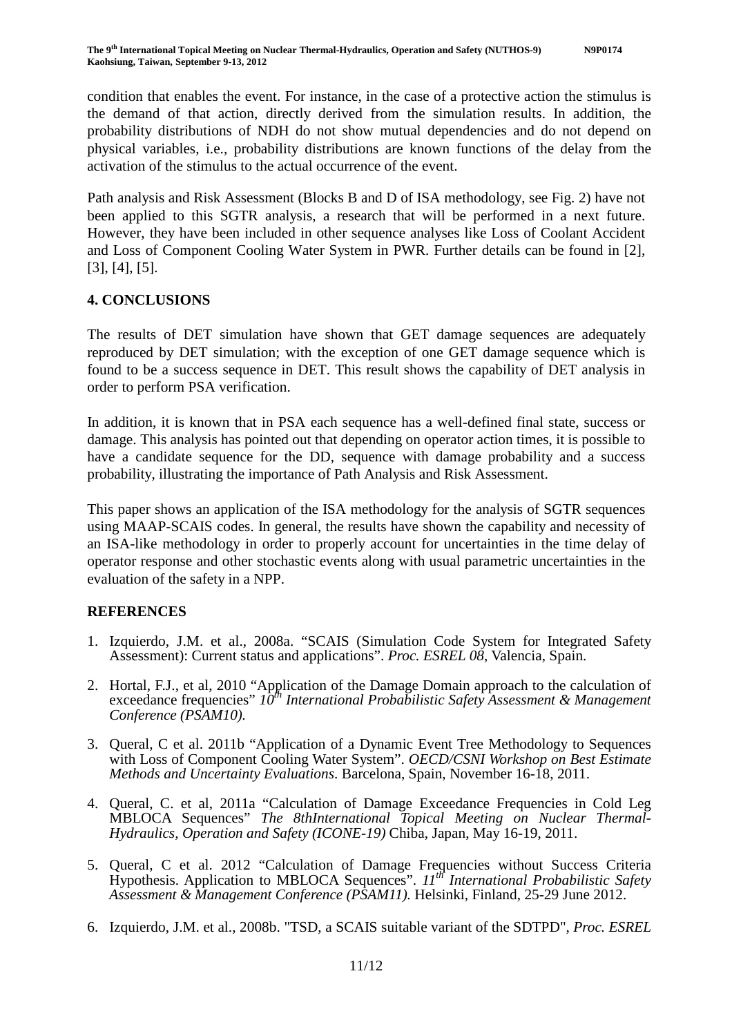condition that enables the event. For instance, in the case of a protective action the stimulus is the demand of that action, directly derived from the simulation results. In addition, the probability distributions of NDH do not show mutual dependencies and do not depend on physical variables, i.e., probability distributions are known functions of the delay from the activation of the stimulus to the actual occurrence of the event.

Path analysis and Risk Assessment (Blocks B and D of ISA methodology, see Fig. 2) have not been applied to this SGTR analysis, a research that will be performed in a next future. However, they have been included in other sequence analyses like Loss of Coolant Accident and Loss of Component Cooling Water System in PWR. Further details can be found in [2], [3], [4], [5].

## **4. CONCLUSIONS**

The results of DET simulation have shown that GET damage sequences are adequately reproduced by DET simulation; with the exception of one GET damage sequence which is found to be a success sequence in DET. This result shows the capability of DET analysis in order to perform PSA verification.

In addition, it is known that in PSA each sequence has a well-defined final state, success or damage. This analysis has pointed out that depending on operator action times, it is possible to have a candidate sequence for the DD, sequence with damage probability and a success probability, illustrating the importance of Path Analysis and Risk Assessment.

This paper shows an application of the ISA methodology for the analysis of SGTR sequences using MAAP-SCAIS codes. In general, the results have shown the capability and necessity of an ISA-like methodology in order to properly account for uncertainties in the time delay of operator response and other stochastic events along with usual parametric uncertainties in the evaluation of the safety in a NPP.

## **REFERENCES**

- 1. Izquierdo, J.M. et al., 2008a. "SCAIS (Simulation Code System for Integrated Safety Assessment): Current status and applications". *Proc. ESREL 08*, Valencia, Spain.
- 2. Hortal, F.J., et al, 2010 "Application of the Damage Domain approach to the calculation of exceedance frequencies" *10th International Probabilistic Safety Assessment & Management Conference (PSAM10).*
- 3. Queral, C et al. 2011b "Application of a Dynamic Event Tree Methodology to Sequences with Loss of Component Cooling Water System". *OECD/CSNI Workshop on Best Estimate Methods and Uncertainty Evaluations*. Barcelona, Spain, November 16-18, 2011.
- 4. Queral, C. et al, 2011a "Calculation of Damage Exceedance Frequencies in Cold Leg MBLOCA Sequences" *The 8thInternational Topical Meeting on Nuclear Thermal-Hydraulics, Operation and Safety (ICONE-19)* Chiba, Japan, May 16-19, 2011.
- 5. Queral, C et al. 2012 "Calculation of Damage Frequencies without Success Criteria Hypothesis. Application to MBLOCA Sequences". *11th International Probabilistic Safety Assessment & Management Conference (PSAM11).* Helsinki, Finland, 25-29 June 2012.
- 6. Izquierdo, J.M. et al., 2008b. "TSD, a SCAIS suitable variant of the SDTPD", *Proc. ESREL*